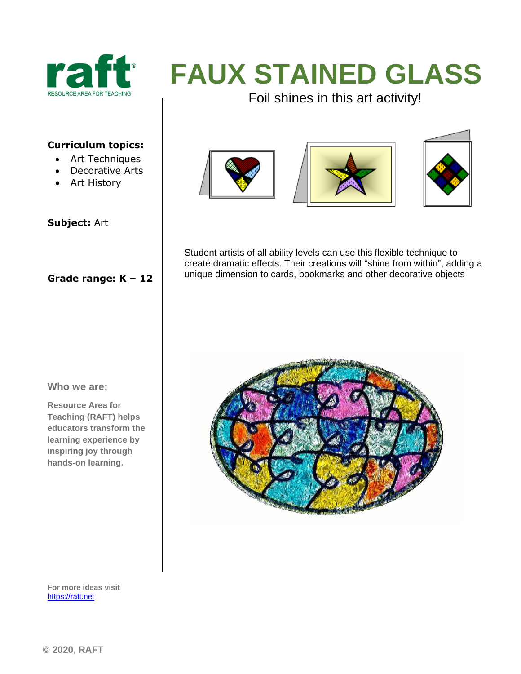

# **FAUX STAINED GLASS**

Foil shines in this art activity!

### **Curriculum topics:**

- Art Techniques
- Decorative Arts
- Art History

#### **Subject:** Art

### **Grade range: K – 12**







Student artists of all ability levels can use this flexible technique to create dramatic effects. Their creations will "shine from within", adding a unique dimension to cards, bookmarks and other decorative objects

#### **Who we are:**

**Resource Area for Teaching (RAFT) helps educators transform the learning experience by inspiring joy through hands-on learning.** 



**For more ideas visit**  [https://raft.net](https://raft.net/)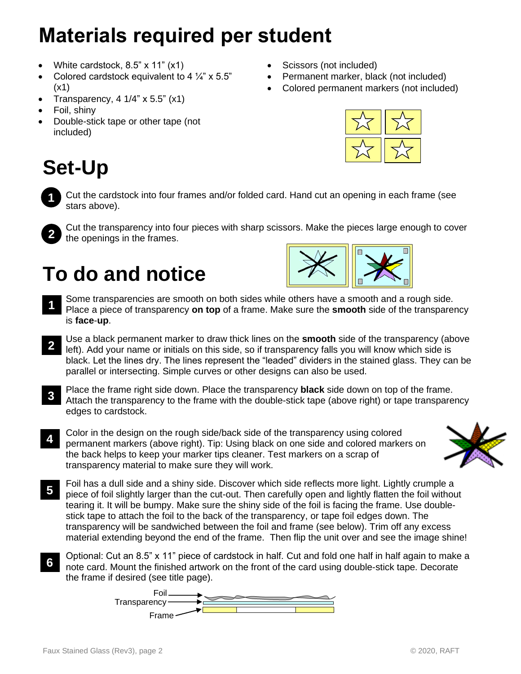# **Materials required per student**

- White cardstock, 8.5" x 11" (x1)
- Colored cardstock equivalent to 4  $\frac{1}{4}$ " x 5.5" (x1)
- Transparency,  $4 \frac{1}{4}$  x 5.5" (x1)
- Foil, shiny
- Double-stick tape or other tape (not included)
- **Set-Up**

• Scissors (not included)

- Permanent marker, black (not included)
- Colored permanent markers (not included)



Cut the cardstock into four frames and/or folded card. Hand cut an opening in each frame (see stars above). **1**



Cut the transparency into four pieces with sharp scissors. Make the pieces large enough to cover the openings in the frames.

### **To do and notice**



- Some transparencies are smooth on both sides while others have a smooth and a rough side. Place a piece of transparency **on top** of a frame. Make sure the **smooth** side of the transparency is **face**-**up**. **1**
- Use a black permanent marker to draw thick lines on the **smooth** side of the transparency (above left). Add your name or initials on this side, so if transparency falls you will know which side is black. Let the lines dry. The lines represent the "leaded" dividers in the stained glass. They can be parallel or intersecting. Simple curves or other designs can also be used. **2**
- Place the frame right side down. Place the transparency **black** side down on top of the frame. Attach the transparency to the frame with the double-stick tape (above right) or tape transparency edges to cardstock. **3**
- Color in the design on the rough side/back side of the transparency using colored permanent markers (above right). Tip: Using black on one side and colored markers on the back helps to keep your marker tips cleaner. Test markers on a scrap of transparency material to make sure they will work. **4**



- Foil has a dull side and a shiny side. Discover which side reflects more light. Lightly crumple a piece of foil slightly larger than the cut-out. Then carefully open and lightly flatten the foil without tearing it. It will be bumpy. Make sure the shiny side of the foil is facing the frame. Use doublestick tape to attach the foil to the back of the transparency, or tape foil edges down. The transparency will be sandwiched between the foil and frame (see below). Trim off any excess material extending beyond the end of the frame. Then flip the unit over and see the image shine! **5**
- Optional: Cut an 8.5" x 11" piece of cardstock in half. Cut and fold one half in half again to make a note card. Mount the finished artwork on the front of the card using double-stick tape. Decorate the frame if desired (see title page). **6**

Foil Transparency -Frame